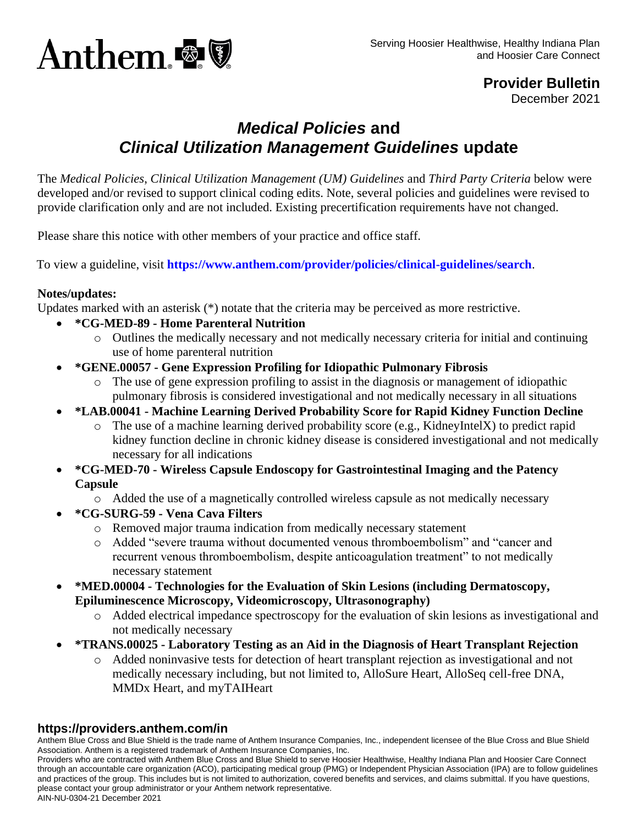

**Provider Bulletin** December 2021

# *Medical Policies* **and**  *Clinical Utilization Management Guidelines* **update**

The *Medical Policies*, *Clinical Utilization Management (UM) Guidelines* and *Third Party Criteria* below were developed and/or revised to support clinical coding edits. Note, several policies and guidelines were revised to provide clarification only and are not included. Existing precertification requirements have not changed.

Please share this notice with other members of your practice and office staff.

To view a guideline, visit **<https://www.anthem.com/provider/policies/clinical-guidelines/search>**.

### **Notes/updates:**

Updates marked with an asterisk (\*) notate that the criteria may be perceived as more restrictive.

- **\*CG-MED-89 - Home Parenteral Nutrition**
	- o Outlines the medically necessary and not medically necessary criteria for initial and continuing use of home parenteral nutrition
- **\*GENE.00057 - Gene Expression Profiling for Idiopathic Pulmonary Fibrosis**
	- o The use of gene expression profiling to assist in the diagnosis or management of idiopathic pulmonary fibrosis is considered investigational and not medically necessary in all situations
- **\*LAB.00041 - Machine Learning Derived Probability Score for Rapid Kidney Function Decline**
	- o The use of a machine learning derived probability score (e.g., KidneyIntelX) to predict rapid kidney function decline in chronic kidney disease is considered investigational and not medically necessary for all indications
- **\*CG-MED-70 - Wireless Capsule Endoscopy for Gastrointestinal Imaging and the Patency Capsule**
	- o Added the use of a magnetically controlled wireless capsule as not medically necessary
- **\*CG-SURG-59 - Vena Cava Filters**
	- o Removed major trauma indication from medically necessary statement
	- o Added "severe trauma without documented venous thromboembolism" and "cancer and recurrent venous thromboembolism, despite anticoagulation treatment" to not medically necessary statement
- **\*MED.00004 - Technologies for the Evaluation of Skin Lesions (including Dermatoscopy, Epiluminescence Microscopy, Videomicroscopy, Ultrasonography)**
	- o Added electrical impedance spectroscopy for the evaluation of skin lesions as investigational and not medically necessary
- **\*TRANS.00025 - Laboratory Testing as an Aid in the Diagnosis of Heart Transplant Rejection**
	- o Added noninvasive tests for detection of heart transplant rejection as investigational and not medically necessary including, but not limited to, AlloSure Heart, AlloSeq cell-free DNA, MMDx Heart, and myTAIHeart

#### **https://providers.anthem.com/in**

Anthem Blue Cross and Blue Shield is the trade name of Anthem Insurance Companies, Inc., independent licensee of the Blue Cross and Blue Shield Association. Anthem is a registered trademark of Anthem Insurance Companies, Inc.

Providers who are contracted with Anthem Blue Cross and Blue Shield to serve Hoosier Healthwise, Healthy Indiana Plan and Hoosier Care Connect through an accountable care organization (ACO), participating medical group (PMG) or Independent Physician Association (IPA) are to follow guidelines and practices of the group. This includes but is not limited to authorization, covered benefits and services, and claims submittal. If you have questions, please contact your group administrator or your Anthem network representative.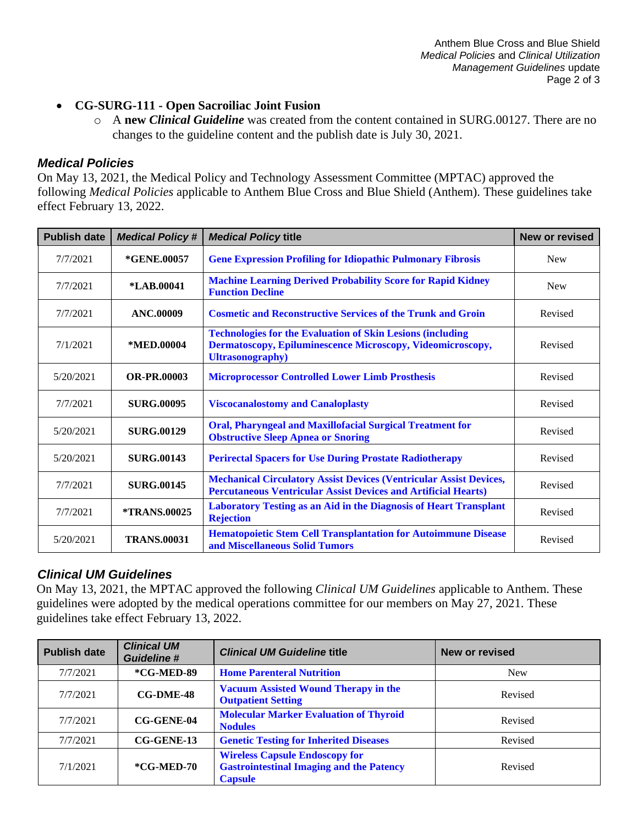- **CG-SURG-111 - Open Sacroiliac Joint Fusion**
	- o A **new** *Clinical Guideline* was created from the content contained in SURG.00127. There are no changes to the guideline content and the publish date is July 30, 2021.

## *Medical Policies*

On May 13, 2021, the Medical Policy and Technology Assessment Committee (MPTAC) approved the following *Medical Policies* applicable to Anthem Blue Cross and Blue Shield (Anthem). These guidelines take effect February 13, 2022.

| <b>Publish date</b> | <b>Medical Policy#</b>     | <b>Medical Policy title</b>                                                                                                                                 | New or revised |  |
|---------------------|----------------------------|-------------------------------------------------------------------------------------------------------------------------------------------------------------|----------------|--|
| 7/7/2021            | *GENE.00057                | <b>Gene Expression Profiling for Idiopathic Pulmonary Fibrosis</b>                                                                                          | <b>New</b>     |  |
| 7/7/2021            | *LAB.00041                 | <b>Machine Learning Derived Probability Score for Rapid Kidney</b><br><b>Function Decline</b>                                                               | <b>New</b>     |  |
| 7/7/2021            | <b>ANC.00009</b>           | <b>Cosmetic and Reconstructive Services of the Trunk and Groin</b>                                                                                          | Revised        |  |
| 7/1/2021            | *MED.00004                 | <b>Technologies for the Evaluation of Skin Lesions (including</b><br>Dermatoscopy, Epiluminescence Microscopy, Videomicroscopy,<br><b>Ultrasonography</b> ) | Revised        |  |
| 5/20/2021           | <b>OR-PR.00003</b>         | <b>Microprocessor Controlled Lower Limb Prosthesis</b>                                                                                                      | Revised        |  |
| 7/7/2021            | <b>SURG.00095</b>          | <b>Viscocanalostomy and Canaloplasty</b>                                                                                                                    | Revised        |  |
| 5/20/2021           | <b>SURG.00129</b>          | <b>Oral, Pharyngeal and Maxillofacial Surgical Treatment for</b><br><b>Obstructive Sleep Apnea or Snoring</b>                                               | Revised        |  |
| 5/20/2021           | <b>SURG.00143</b>          | <b>Perirectal Spacers for Use During Prostate Radiotherapy</b>                                                                                              | Revised        |  |
| 7/7/2021            | <b>SURG.00145</b>          | <b>Mechanical Circulatory Assist Devices (Ventricular Assist Devices,</b><br><b>Percutaneous Ventricular Assist Devices and Artificial Hearts)</b>          | Revised        |  |
| 7/7/2021            | <i><b>*TRANS.00025</b></i> | Laboratory Testing as an Aid in the Diagnosis of Heart Transplant<br><b>Rejection</b>                                                                       | Revised        |  |
| 5/20/2021           | <b>TRANS.00031</b>         | <b>Hematopoietic Stem Cell Transplantation for Autoimmune Disease</b><br>and Miscellaneous Solid Tumors                                                     | Revised        |  |

## *Clinical UM Guidelines*

On May 13, 2021, the MPTAC approved the following *Clinical UM Guidelines* applicable to Anthem. These guidelines were adopted by the medical operations committee for our members on May 27, 2021. These guidelines take effect February 13, 2022.

| <b>Publish date</b> | <b>Clinical UM</b><br><b>Guideline #</b> | <b>Clinical UM Guideline title</b>                                                                         | New or revised |
|---------------------|------------------------------------------|------------------------------------------------------------------------------------------------------------|----------------|
| 7/7/2021            | *CG-MED-89                               | <b>Home Parenteral Nutrition</b>                                                                           | <b>New</b>     |
| 7/7/2021            | $CG-DME-48$                              | <b>Vacuum Assisted Wound Therapy in the</b><br><b>Outpatient Setting</b>                                   | Revised        |
| 7/7/2021            | <b>CG-GENE-04</b>                        | <b>Molecular Marker Evaluation of Thyroid</b><br><b>Nodules</b>                                            | Revised        |
| 7/7/2021            | $CG-GENE-13$                             | <b>Genetic Testing for Inherited Diseases</b>                                                              | Revised        |
| 7/1/2021            | $*CG-MED-70$                             | <b>Wireless Capsule Endoscopy for</b><br><b>Gastrointestinal Imaging and the Patency</b><br><b>Capsule</b> | Revised        |